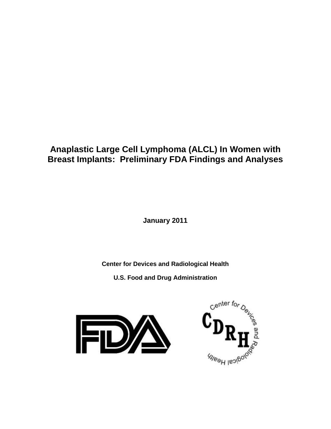# **Anaplastic Large Cell Lymphoma (ALCL) In Women with Breast Implants: Preliminary FDA Findings and Analyses**

**January 2011**

**Center for Devices and Radiological Health**

**U.S. Food and Drug Administration**



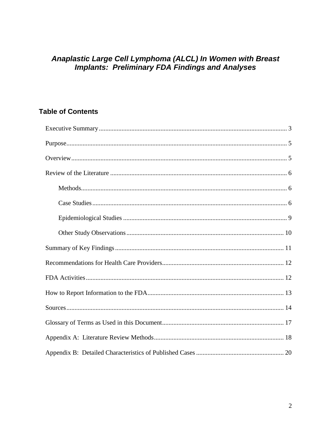# Anaplastic Large Cell Lymphoma (ALCL) In Women with Breast<br>Implants: Preliminary FDA Findings and Analyses

## **Table of Contents**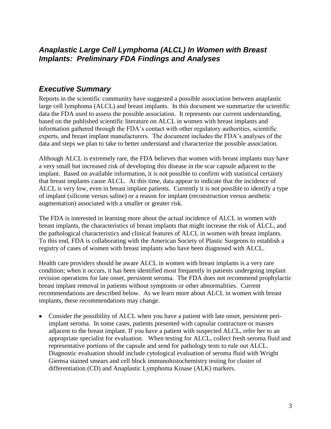## <span id="page-2-0"></span>*Anaplastic Large Cell Lymphoma (ALCL) In Women with Breast Implants: Preliminary FDA Findings and Analyses*

### *Executive Summary*

Reports in the scientific community have suggested a possible association between anaplastic large cell lymphoma (ALCL) and breast implants. In this document we summarize the scientific data the FDA used to assess the possible association. It represents our current understanding, based on the published scientific literature on ALCL in women with breast implants and information gathered through the FDA"s contact with other regulatory authorities, scientific experts, and breast implant manufacturers. The document includes the FDA"s analyses of the data and steps we plan to take to better understand and characterize the possible association.

Although ALCL is extremely rare, the FDA believes that women with breast implants may have a very small but increased risk of developing this disease in the scar capsule adjacent to the implant. Based on available information, it is not possible to confirm with statistical certainty that breast implants cause ALCL. At this time, data appear to indicate that the incidence of ALCL is very low, even in breast implant patients. Currently it is not possible to identify a type of implant (silicone versus saline) or a reason for implant (reconstruction versus aesthetic augmentation) associated with a smaller or greater risk.

The FDA is interested in learning more about the actual incidence of ALCL in women with breast implants, the characteristics of breast implants that might increase the risk of ALCL, and the pathological characteristics and clinical features of ALCL in women with breast implants. To this end, FDA is collaborating with the American Society of Plastic Surgeons to establish a registry of cases of women with breast implants who have been diagnosed with ALCL.

Health care providers should be aware ALCL in women with breast implants is a very rare condition; when it occurs, it has been identified most frequently in patients undergoing implant revision operations for late onset, persistent seroma. The FDA does not recommend prophylactic breast implant removal in patients without symptoms or other abnormalities. Current recommendations are described below. As we learn more about ALCL in women with breast implants, these recommendations may change.

Consider the possibility of ALCL when you have a patient with late onset, persistent periimplant seroma. In some cases, patients presented with capsular contracture or masses adjacent to the breast implant. If you have a patient with suspected ALCL, refer her to an appropriate specialist for evaluation. When testing for ALCL, collect fresh seroma fluid and representative portions of the capsule and send for pathology tests to rule out ALCL. Diagnostic evaluation should include cytological evaluation of seroma fluid with Wright Giemsa stained smears and cell block immunohistochemistry testing for cluster of differentiation (CD) and Anaplastic Lymphoma Kinase (ALK) markers.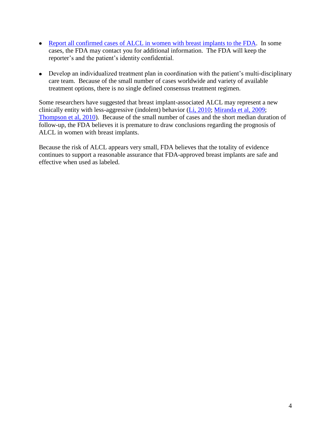- [Report all confirmed cases of ALCL in women with breast implants to the FDA.](#page-12-0) In some cases, the FDA may contact you for additional information. The FDA will keep the reporter's and the patient's identity confidential.
- Develop an individualized treatment plan in coordination with the patient's multi-disciplinary care team. Because of the small number of cases worldwide and variety of available treatment options, there is no single defined consensus treatment regimen.

Some researchers have suggested that breast implant-associated ALCL may represent a new clinically entity with less-aggressive (indolent) behavior (Li, 2010; Miranda et al, 2009; [Thompson et al, 2010\)](#page-15-0). Because of the small number of cases and the short median duration of follow-up, the FDA believes it is premature to draw conclusions regarding the prognosis of ALCL in women with breast implants.

Because the risk of ALCL appears very small, FDA believes that the totality of evidence continues to support a reasonable assurance that FDA-approved breast implants are safe and effective when used as labeled.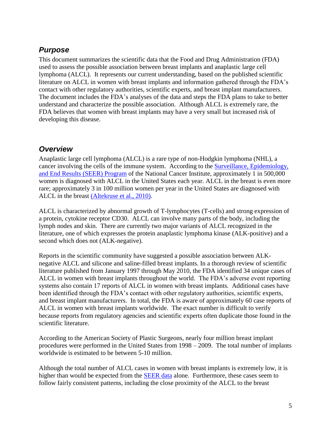## <span id="page-4-0"></span>*Purpose*

This document summarizes the scientific data that the Food and Drug Administration (FDA) used to assess the possible association between breast implants and anaplastic large cell lymphoma (ALCL). It represents our current understanding, based on the published scientific literature on ALCL in women with breast implants and information gathered through the FDA"s contact with other regulatory authorities, scientific experts, and breast implant manufacturers. The document includes the FDA's analyses of the data and steps the FDA plans to take to better understand and characterize the possible association. Although ALCL is extremely rare, the FDA believes that women with breast implants may have a very small but increased risk of developing this disease.

#### <span id="page-4-1"></span>*Overview*

Anaplastic large cell lymphoma (ALCL) is a rare type of non-Hodgkin lymphoma (NHL), a cancer involving the cells of the immune system. According to the [Surveillance, Epidemiology,](http://seer.cancer.gov/csr/1975_2007/)  [and End Results \(SEER\) Program](http://seer.cancer.gov/csr/1975_2007/) of the National Cancer Institute, approximately 1 in 500,000 women is diagnosed with ALCL in the United States each year. ALCL in the breast is even more rare; approximately 3 in 100 million women per year in the United States are diagnosed with ALCL in the breast (Altekruse et al., 2010).

ALCL is characterized by abnormal growth of T-lymphocytes (T-cells) and strong expression of a protein, cytokine receptor CD30. ALCL can involve many parts of the body, including the lymph nodes and skin. There are currently two major variants of ALCL recognized in the literature, one of which expresses the protein anaplastic lymphoma kinase (ALK-positive) and a second which does not (ALK-negative).

Reports in the scientific community have suggested a possible association between ALKnegative ALCL and silicone and saline-filled breast implants. In a thorough review of scientific literature published from January 1997 through May 2010, the FDA identified 34 unique cases of ALCL in women with breast implants throughout the world. The FDA"s adverse event reporting systems also contain 17 reports of ALCL in women with breast implants. Additional cases have been identified through the FDA's contact with other regulatory authorities, scientific experts, and breast implant manufacturers. In total, the FDA is aware of approximately 60 case reports of ALCL in women with breast implants worldwide. The exact number is difficult to verify because reports from regulatory agencies and scientific experts often duplicate those found in the scientific literature.

According to the American Society of Plastic Surgeons, nearly four million breast implant procedures were performed in the United States from 1998 – 2009. The total number of implants worldwide is estimated to be between 5-10 million.

Although the total number of ALCL cases in women with breast implants is extremely low, it is higher than would be expected from the SEER data alone. Furthermore, these cases seem to follow fairly consistent patterns, including the close proximity of the ALCL to the breast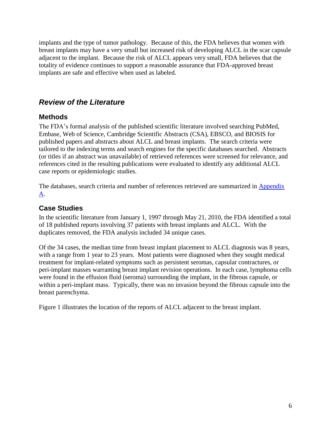implants and the type of tumor pathology. Because of this, the FDA believes that women with breast implants may have a very small but increased risk of developing ALCL in the scar capsule adjacent to the implant. Because the risk of ALCL appears very small, FDA believes that the totality of evidence continues to support a reasonable assurance that FDA-approved breast implants are safe and effective when used as labeled.

## <span id="page-5-0"></span>*Review of the Literature*

#### <span id="page-5-1"></span>**Methods**

The FDA"s formal analysis of the published scientific literature involved searching PubMed, Embase, Web of Science, Cambridge Scientific Abstracts (CSA), EBSCO, and BIOSIS for published papers and abstracts about ALCL and breast implants. The search criteria were tailored to the indexing terms and search engines for the specific databases searched. Abstracts (or titles if an abstract was unavailable) of retrieved references were screened for relevance, and references cited in the resulting publications were evaluated to identify any additional ALCL case reports or epidemiologic studies.

The databases, search criteria and number of references retrieved are summarized in **Appendix** [A.](#page-16-1)

#### <span id="page-5-2"></span>**Case Studies**

In the scientific literature from January 1, 1997 through May 21, 2010, the FDA identified a total of 18 published reports involving 37 patients with breast implants and ALCL. With the duplicates removed, the FDA analysis included 34 unique cases.

Of the 34 cases, the median time from breast implant placement to ALCL diagnosis was 8 years, with a range from 1 year to 23 years. Most patients were diagnosed when they sought medical treatment for implant-related symptoms such as persistent seromas, capsular contractures, or peri-implant masses warranting breast implant revision operations. In each case, lymphoma cells were found in the effusion fluid (seroma) surrounding the implant, in the fibrous capsule, or within a peri-implant mass. Typically, there was no invasion beyond the fibrous capsule into the breast parenchyma.

Figure 1 illustrates the location of the reports of ALCL adjacent to the breast implant.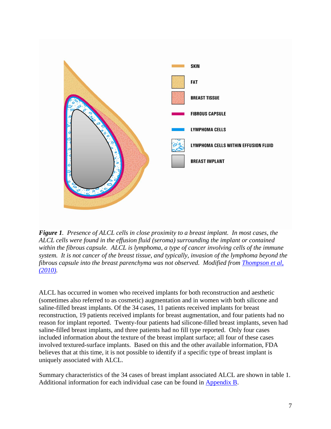

*Figure 1. Presence of ALCL cells in close proximity to a breast implant. In most cases, the ALCL cells were found in the effusion fluid (seroma) surrounding the implant or contained within the fibrous capsule. ALCL is lymphoma, a type of cancer involving cells of the immune system. It is not cancer of the breast tissue, and typically, invasion of the lymphoma beyond the fibrous capsule into the breast parenchyma was not observed. Modified from [Thompson et al,](#page-15-0)  [\(2010\).](#page-15-0)*

ALCL has occurred in women who received implants for both reconstruction and aesthetic (sometimes also referred to as cosmetic) augmentation and in women with both silicone and saline-filled breast implants. Of the 34 cases, 11 patients received implants for breast reconstruction, 19 patients received implants for breast augmentation, and four patients had no reason for implant reported. Twenty-four patients had silicone-filled breast implants, seven had saline-filled breast implants, and three patients had no fill type reported. Only four cases included information about the texture of the breast implant surface; all four of these cases involved textured-surface implants. Based on this and the other available information, FDA believes that at this time, it is not possible to identify if a specific type of breast implant is uniquely associated with ALCL.

Summary characteristics of the 34 cases of breast implant associated ALCL are shown in table 1. Additional information for each individual case can be found in [Appendix B.](#page-18-0)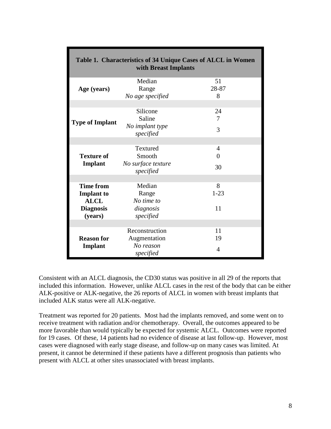| Table 1. Characteristics of 34 Unique Cases of ALCL in Women<br>with Breast Implants |                                 |             |  |  |  |  |  |
|--------------------------------------------------------------------------------------|---------------------------------|-------------|--|--|--|--|--|
| Age (years)                                                                          | Median<br>Range                 | 51<br>28-87 |  |  |  |  |  |
|                                                                                      | No age specified                | 8           |  |  |  |  |  |
|                                                                                      |                                 |             |  |  |  |  |  |
|                                                                                      | Silicone                        | 24          |  |  |  |  |  |
| <b>Type of Implant</b>                                                               | Saline                          | 7           |  |  |  |  |  |
|                                                                                      | No implant type<br>specified    | 3           |  |  |  |  |  |
|                                                                                      |                                 |             |  |  |  |  |  |
|                                                                                      | Textured                        | 4           |  |  |  |  |  |
| <b>Texture of</b>                                                                    | Smooth                          | 0           |  |  |  |  |  |
| Implant                                                                              | No surface texture<br>specified | 30          |  |  |  |  |  |
|                                                                                      |                                 |             |  |  |  |  |  |
| <b>Time from</b>                                                                     | Median                          | 8           |  |  |  |  |  |
| <b>Implant</b> to                                                                    | Range                           | $1 - 23$    |  |  |  |  |  |
| <b>ALCL</b>                                                                          | No time to                      |             |  |  |  |  |  |
| <b>Diagnosis</b><br>(years)                                                          | diagnosis<br>specified          | 11          |  |  |  |  |  |
|                                                                                      |                                 |             |  |  |  |  |  |
|                                                                                      | Reconstruction                  | 11          |  |  |  |  |  |
| <b>Reason for</b>                                                                    | Augmentation                    | 19          |  |  |  |  |  |
| Implant                                                                              | No reason<br>specified          | 4           |  |  |  |  |  |

Consistent with an ALCL diagnosis, the CD30 status was positive in all 29 of the reports that included this information. However, unlike ALCL cases in the rest of the body that can be either ALK-positive or ALK-negative, the 26 reports of ALCL in women with breast implants that included ALK status were all ALK-negative.

Treatment was reported for 20 patients. Most had the implants removed, and some went on to receive treatment with radiation and/or chemotherapy. Overall, the outcomes appeared to be more favorable than would typically be expected for systemic ALCL. Outcomes were reported for 19 cases. Of these, 14 patients had no evidence of disease at last follow-up. However, most cases were diagnosed with early stage disease, and follow-up on many cases was limited. At present, it cannot be determined if these patients have a different prognosis than patients who present with ALCL at other sites unassociated with breast implants.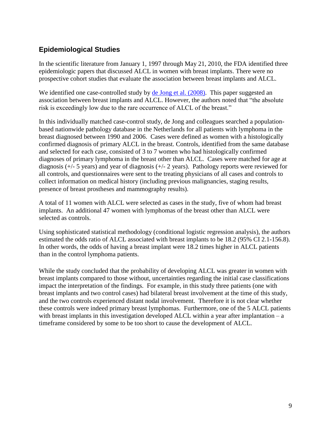#### <span id="page-8-0"></span>**Epidemiological Studies**

In the scientific literature from January 1, 1997 through May 21, 2010, the FDA identified three epidemiologic papers that discussed ALCL in women with breast implants. There were no prospective cohort studies that evaluate the association between breast implants and ALCL.

We identified one case-controlled study by de Jong et al. (2008). This paper suggested an association between breast implants and ALCL. However, the authors noted that "the absolute risk is exceedingly low due to the rare occurrence of ALCL of the breast."

In this individually matched case-control study, de Jong and colleagues searched a populationbased nationwide pathology database in the Netherlands for all patients with lymphoma in the breast diagnosed between 1990 and 2006. Cases were defined as women with a histologically confirmed diagnosis of primary ALCL in the breast. Controls, identified from the same database and selected for each case, consisted of 3 to 7 women who had histologically confirmed diagnoses of primary lymphoma in the breast other than ALCL. Cases were matched for age at diagnosis (+/- 5 years) and year of diagnosis (+/- 2 years). Pathology reports were reviewed for all controls, and questionnaires were sent to the treating physicians of all cases and controls to collect information on medical history (including previous malignancies, staging results, presence of breast prostheses and mammography results).

A total of 11 women with ALCL were selected as cases in the study, five of whom had breast implants. An additional 47 women with lymphomas of the breast other than ALCL were selected as controls.

Using sophisticated statistical methodology (conditional logistic regression analysis), the authors estimated the odds ratio of ALCL associated with breast implants to be 18.2 (95% CI 2.1-156.8). In other words, the odds of having a breast implant were 18.2 times higher in ALCL patients than in the control lymphoma patients.

While the study concluded that the probability of developing ALCL was greater in women with breast implants compared to those without, uncertainties regarding the initial case classifications impact the interpretation of the findings. For example, in this study three patients (one with breast implants and two control cases) had bilateral breast involvement at the time of this study, and the two controls experienced distant nodal involvement. Therefore it is not clear whether these controls were indeed primary breast lymphomas. Furthermore, one of the 5 ALCL patients with breast implants in this investigation developed ALCL within a year after implantation – a timeframe considered by some to be too short to cause the development of ALCL.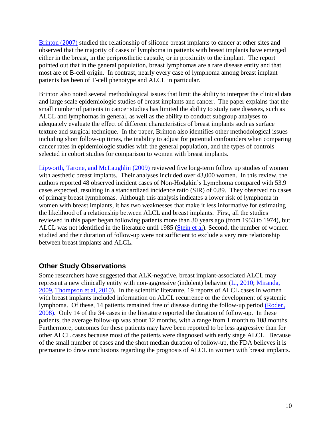Brinton (2007) studied the relationship of silicone breast implants to cancer at other sites and observed that the majority of cases of lymphoma in patients with breast implants have emerged either in the breast, in the periprosthetic capsule, or in proximity to the implant. The report pointed out that in the general population, breast lymphomas are a rare disease entity and that most are of B-cell origin. In contrast, nearly every case of lymphoma among breast implant patients has been of T-cell phenotype and ALCL in particular.

Brinton also noted several methodological issues that limit the ability to interpret the clinical data and large scale epidemiologic studies of breast implants and cancer. The paper explains that the small number of patients in cancer studies has limited the ability to study rare diseases, such as ALCL and lymphomas in general, as well as the ability to conduct subgroup analyses to adequately evaluate the effect of different characteristics of breast implants such as surface texture and surgical technique. In the paper, Brinton also identifies other methodological issues including short follow-up times, the inability to adjust for potential confounders when comparing cancer rates in epidemiologic studies with the general population, and the types of controls selected in cohort studies for comparison to women with breast implants.

Lipworth, Tarone, and McLaughlin (2009) reviewed five long-term follow up studies of women with aesthetic breast implants. Their analyses included over 43,000 women. In this review, the authors reported 48 observed incident cases of Non-Hodgkin"s Lymphoma compared with 53.9 cases expected, resulting in a standardized incidence ratio (SIR) of 0.89. They observed no cases of primary breast lymphomas. Although this analysis indicates a lower risk of lymphoma in women with breast implants, it has two weaknesses that make it less informative for estimating the likelihood of a relationship between ALCL and breast implants. First, all the studies reviewed in this paper began following patients more than 30 years ago (from 1953 to 1974), but ALCL was not identified in the literature until 1985 [\(Stein et al\)](#page-15-1). Second, the number of women studied and their duration of follow-up were not sufficient to exclude a very rare relationship between breast implants and ALCL.

#### <span id="page-9-0"></span>**Other Study Observations**

Some researchers have suggested that ALK-negative, breast implant-associated ALCL may represent a new clinically entity with non-aggressive (indolent) behavior (Li, 2010; Miranda, 2009, [Thompson et al, 2010\)](#page-15-0). In the scientific literature, 19 reports of ALCL cases in women with breast implants included information on ALCL recurrence or the development of systemic lymphoma. Of these, 14 patients remained free of disease during the follow-up period (Roden, 2008). Only 14 of the 34 cases in the literature reported the duration of follow-up. In these patients, the average follow-up was about 12 months, with a range from 1 month to 108 months. Furthermore, outcomes for these patients may have been reported to be less aggressive than for other ALCL cases because most of the patients were diagnosed with early stage ALCL. Because of the small number of cases and the short median duration of follow-up, the FDA believes it is premature to draw conclusions regarding the prognosis of ALCL in women with breast implants.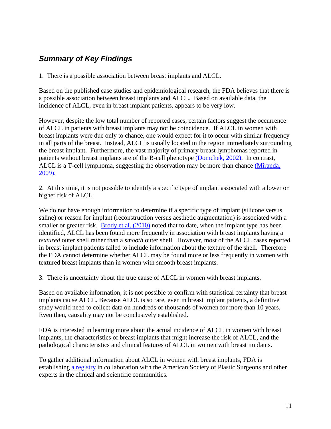## <span id="page-10-0"></span>*Summary of Key Findings*

1. There is a possible association between breast implants and ALCL.

Based on the published case studies and epidemiological research, the FDA believes that there is a possible association between breast implants and ALCL. Based on available data, the incidence of ALCL, even in breast implant patients, appears to be very low.

However, despite the low total number of reported cases, certain factors suggest the occurrence of ALCL in patients with breast implants may not be coincidence. If ALCL in women with breast implants were due only to chance, one would expect for it to occur with similar frequency in all parts of the breast. Instead, ALCL is usually located in the region immediately surrounding the breast implant. Furthermore, the vast majority of primary breast lymphomas reported in patients without breast implants are of the B-cell phenotype (Domchek, 2002). In contrast, ALCL is a T-cell lymphoma, suggesting the observation may be more than chance (Miranda, 2009).

2. At this time, it is not possible to identify a specific type of implant associated with a lower or higher risk of ALCL.

We do not have enough information to determine if a specific type of implant (silicone versus saline) or reason for implant (reconstruction versus aesthetic augmentation) is associated with a smaller or greater risk. Brody et al. (2010) noted that to date, when the implant type has been identified, ALCL has been found more frequently in association with breast implants having a *textured* outer shell rather than a *smooth* outer shell. However, most of the ALCL cases reported in breast implant patients failed to include information about the texture of the shell. Therefore the FDA cannot determine whether ALCL may be found more or less frequently in women with textured breast implants than in women with smooth breast implants.

3. There is uncertainty about the true cause of ALCL in women with breast implants.

Based on available information, it is not possible to confirm with statistical certainty that breast implants cause ALCL. Because ALCL is so rare, even in breast implant patients, a definitive study would need to collect data on hundreds of thousands of women for more than 10 years. Even then, causality may not be conclusively established.

FDA is interested in learning more about the actual incidence of ALCL in women with breast implants, the characteristics of breast implants that might increase the risk of ALCL, and the pathological characteristics and clinical features of ALCL in women with breast implants.

To gather additional information about ALCL in women with breast implants, FDA is establishing [a registry](#page-12-1) in collaboration with the American Society of Plastic Surgeons and other experts in the clinical and scientific communities.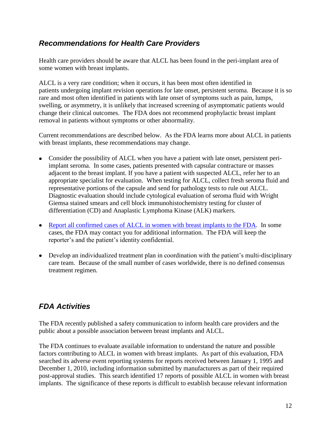## <span id="page-11-0"></span>*Recommendations for Health Care Providers*

Health care providers should be aware that ALCL has been found in the peri-implant area of some women with breast implants.

ALCL is a very rare condition; when it occurs, it has been most often identified in patients undergoing implant revision operations for late onset, persistent seroma. Because it is so rare and most often identified in patients with late onset of symptoms such as pain, lumps, swelling, or asymmetry, it is unlikely that increased screening of asymptomatic patients would change their clinical outcomes. The FDA does not recommend prophylactic breast implant removal in patients without symptoms or other abnormality.

Current recommendations are described below. As the FDA learns more about ALCL in patients with breast implants, these recommendations may change.

- Consider the possibility of ALCL when you have a patient with late onset, persistent periimplant seroma. In some cases, patients presented with capsular contracture or masses adjacent to the breast implant. If you have a patient with suspected ALCL, refer her to an appropriate specialist for evaluation. When testing for ALCL, collect fresh seroma fluid and representative portions of the capsule and send for pathology tests to rule out ALCL. Diagnostic evaluation should include cytological evaluation of seroma fluid with Wright Giemsa stained smears and cell block immunohistochemistry testing for cluster of differentiation (CD) and Anaplastic Lymphoma Kinase (ALK) markers.
- [Report all confirmed cases of ALCL in women with breast implants to the FDA.](#page-12-0) In some cases, the FDA may contact you for additional information. The FDA will keep the reporter's and the patient's identity confidential.
- Develop an individualized treatment plan in coordination with the patient's multi-disciplinary care team. Because of the small number of cases worldwide, there is no defined consensus treatment regimen.

## <span id="page-11-1"></span>*FDA Activities*

The FDA recently published a safety communication to inform health care providers and the public about a possible association between breast implants and ALCL.

The FDA continues to evaluate available information to understand the nature and possible factors contributing to ALCL in women with breast implants. As part of this evaluation, FDA searched its adverse event reporting systems for reports received between January 1, 1995 and December 1, 2010, including information submitted by manufacturers as part of their required post-approval studies. This search identified 17 reports of possible ALCL in women with breast implants. The significance of these reports is difficult to establish because relevant information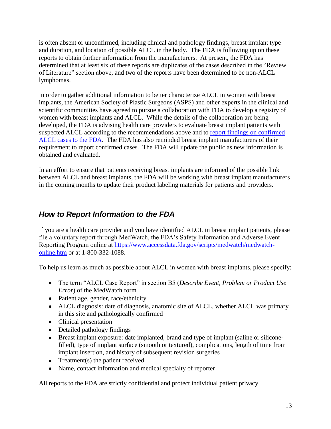is often absent or unconfirmed, including clinical and pathology findings, breast implant type and duration, and location of possible ALCL in the body. The FDA is following up on these reports to obtain further information from the manufacturers. At present, the FDA has determined that at least six of these reports are duplicates of the cases described in the "Review of Literature" section above, and two of the reports have been determined to be non-ALCL lymphomas.

<span id="page-12-1"></span>In order to gather additional information to better characterize ALCL in women with breast implants, the American Society of Plastic Surgeons (ASPS) and other experts in the clinical and scientific communities have agreed to pursue a collaboration with FDA to develop a registry of women with breast implants and ALCL. While the details of the collaboration are being developed, the FDA is advising health care providers to evaluate breast implant patients with suspected ALCL according to the recommendations above and to report [findings on confirmed](#page-12-0)  [ALCL cases to the FDA.](#page-12-0) The FDA has also reminded breast implant manufacturers of their requirement to report confirmed cases. The FDA will update the public as new information is obtained and evaluated.

In an effort to ensure that patients receiving breast implants are informed of the possible link between ALCL and breast implants, the FDA will be working with breast implant manufacturers in the coming months to update their product labeling materials for patients and providers.

## <span id="page-12-0"></span>*How to Report Information to the FDA*

If you are a health care provider and you have identified ALCL in breast implant patients, please file a voluntary report through MedWatch, the FDA"s Safety Information and Adverse Event Reporting Program online at [https://www.accessdata.fda.gov/scripts/medwatch/medwatch](https://www.accessdata.fda.gov/scripts/medwatch/medwatch-online.htm)[online.htm](https://www.accessdata.fda.gov/scripts/medwatch/medwatch-online.htm) or at 1-800-332-1088.

To help us learn as much as possible about ALCL in women with breast implants, please specify:

- The term "ALCL Case Report" in section B5 (*Describe Event, Problem or Product Use Error*) of the MedWatch form
- Patient age, gender, race/ethnicity
- ALCL diagnosis: date of diagnosis, anatomic site of ALCL, whether ALCL was primary in this site and pathologically confirmed
- Clinical presentation
- Detailed pathology findings
- Breast implant exposure: date implanted, brand and type of implant (saline or siliconefilled), type of implant surface (smooth or textured), complications, length of time from implant insertion, and history of subsequent revision surgeries
- Treatment(s) the patient received
- Name, contact information and medical specialty of reporter

All reports to the FDA are strictly confidential and protect individual patient privacy.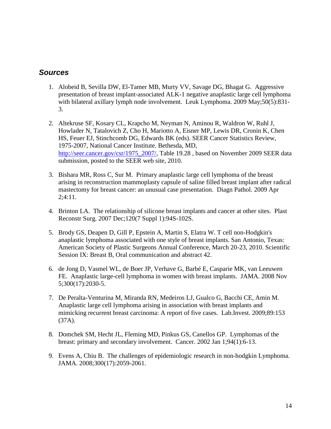#### <span id="page-13-0"></span>*Sources*

- 1. Alobeid B, Sevilla DW, El-Tamer MB, Murty VV, Savage DG, Bhagat G. [Aggressive](http://www.ncbi.nlm.nih.gov/pubmed/19330656)  [presentation of breast implant-associated ALK-1 negative anaplastic large cell lymphoma](http://www.ncbi.nlm.nih.gov/pubmed/19330656)  [with bilateral axillary lymph node involvement.](http://www.ncbi.nlm.nih.gov/pubmed/19330656) Leuk Lymphoma. 2009 May;50(5):831-3.
- 2. Altekruse SF, Kosary CL, Krapcho M, Neyman N, Aminou R, Waldron W, Ruhl J, Howlader N, Tatalovich Z, Cho H, Mariotto A, Eisner MP, Lewis DR, Cronin K, Chen HS, Feuer EJ, Stinchcomb DG, Edwards BK (eds). SEER Cancer Statistics Review, 1975-2007, National Cancer Institute. Bethesda, MD, [http://seer.cancer.gov/csr/1975\\_2007/,](../../../../csr/1975_2007/) Table 19.28, based on November 2009 SEER data submission, posted to the SEER web site, 2010.
- 3. Bishara MR, Ross C, Sur M. [Primary anaplastic large cell lymphoma of the breast](http://www.ncbi.nlm.nih.gov/pubmed/19341480)  [arising in reconstruction mammoplasty capsule of saline filled breast implant after radical](http://www.ncbi.nlm.nih.gov/pubmed/19341480)  [mastectomy for breast cancer: an unusual case presentation.](http://www.ncbi.nlm.nih.gov/pubmed/19341480) Diagn Pathol. 2009 Apr 2;4:11.
- 4. Brinton LA. [The relationship of silicone breast implants and cancer at other sites.](http://www.ncbi.nlm.nih.gov/pubmed/18090818) Plast Reconstr Surg. 2007 Dec;120(7 Suppl 1):94S-102S.
- 5. Brody GS, Deapen D, Gill P, Epstein A, Martin S, Elatra W. T cell non-Hodgkin's anaplastic lymphoma associated with one style of breast implants. San Antonio, Texas: American Society of Plastic Surgeons Annual Conference, March 20-23, 2010. Scientific Session IX: Breast B, Oral communication and abstract 42.
- 6. de Jong D, Vasmel WL, de Boer JP, Verhave G, Barbé E, Casparie MK, van Leeuwen FE. [Anaplastic large-cell lymphoma in women with breast implants.](http://www.ncbi.nlm.nih.gov/pubmed/18984890) JAMA. 2008 Nov 5;300(17):2030-5.
- 7. De Peralta-Venturina M, Miranda RN, Medeiros LJ, Gualco G, Bacchi CE, Amin M. Anaplastic large cell lymphoma arising in association with breast implants and mimicking recurrent breast carcinoma: A report of five cases. Lab.Invest. 2009;89:153 (37A).
- 8. [Domchek SM,](http://www.ncbi.nlm.nih.gov/pubmed?term=%22Domchek%20SM%22%5BAuthor%5D) [Hecht JL,](http://www.ncbi.nlm.nih.gov/pubmed?term=%22Hecht%20JL%22%5BAuthor%5D) [Fleming MD,](http://www.ncbi.nlm.nih.gov/pubmed?term=%22Fleming%20MD%22%5BAuthor%5D) [Pinkus GS,](http://www.ncbi.nlm.nih.gov/pubmed?term=%22Pinkus%20GS%22%5BAuthor%5D) [Canellos GP.](http://www.ncbi.nlm.nih.gov/pubmed?term=%22Canellos%20GP%22%5BAuthor%5D) Lymphomas of the breast: primary and secondary involvement. [Cancer.](javascript:AL_get(this,%20) 2002 Jan 1;94(1):6-13.
- 9. Evens A, Chiu B. The challenges of epidemiologic research in non-hodgkin Lymphoma. JAMA. 2008;300(17):2059-2061.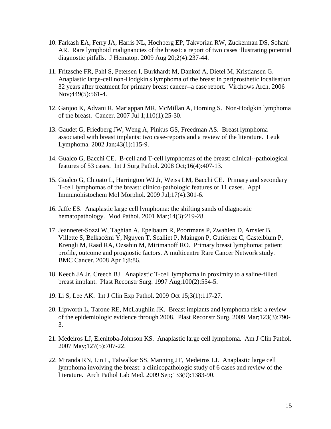- 10. Farkash EA, Ferry JA, Harris NL, Hochberg EP, Takvorian RW, Zuckerman DS, Sohani AR. [Rare lymphoid malignancies of the breast: a report of two cases illustrating potential](http://www.ncbi.nlm.nih.gov/pubmed/20309431)  [diagnostic pitfalls.](http://www.ncbi.nlm.nih.gov/pubmed/20309431) J Hematop. 2009 Aug 20;2(4):237-44.
- 11. Fritzsche FR, Pahl S, Petersen I, Burkhardt M, Dankof A, Dietel M, Kristiansen G. [Anaplastic large-cell non-Hodgkin's lymphoma of the breast in periprosthetic localisation](http://www.ncbi.nlm.nih.gov/pubmed/16983530)  [32 years after treatment for primary breast cancer--a case report.](http://www.ncbi.nlm.nih.gov/pubmed/16983530) Virchows Arch. 2006 Nov;449(5):561-4.
- 12. Ganjoo K, Advani R, Mariappan MR, McMillan A, Horning S. [Non-Hodgkin lymphoma](http://www.ncbi.nlm.nih.gov/pubmed/17541937)  [of the breast.](http://www.ncbi.nlm.nih.gov/pubmed/17541937) Cancer. 2007 Jul 1;110(1):25-30.
- 13. Gaudet G, Friedberg JW, Weng A, Pinkus GS, Freedman AS. [Breast lymphoma](http://www.ncbi.nlm.nih.gov/pubmed/11908714)  [associated with breast implants: two case-reports and a review of the literature.](http://www.ncbi.nlm.nih.gov/pubmed/11908714) Leuk Lymphoma. 2002 Jan;43(1):115-9.
- 14. Gualco G, Bacchi CE. [B-cell and T-cell lymphomas of the breast: clinical--pathological](http://www.ncbi.nlm.nih.gov/pubmed/18480397)  [features of 53 cases.](http://www.ncbi.nlm.nih.gov/pubmed/18480397) Int J Surg Pathol. 2008 Oct;16(4):407-13.
- 15. Gualco G, Chioato L, Harrington WJ Jr, Weiss LM, Bacchi CE. [Primary and secondary](http://www.ncbi.nlm.nih.gov/pubmed/19318917)  [T-cell lymphomas of the breast: clinico-pathologic features of 11 cases.](http://www.ncbi.nlm.nih.gov/pubmed/19318917) Appl Immunohistochem Mol Morphol. 2009 Jul;17(4):301-6.
- 16. Jaffe ES. [Anaplastic large cell lymphoma: the shifting sands of diagnostic](http://www.ncbi.nlm.nih.gov/pubmed/11266530)  [hematopathology.](http://www.ncbi.nlm.nih.gov/pubmed/11266530) Mod Pathol. 2001 Mar;14(3):219-28.
- 17. Jeanneret-Sozzi W, Taghian A, Epelbaum R, Poortmans P, Zwahlen D, Amsler B, Villette S, Belkacémi Y, Nguyen T, Scalliet P, Maingon P, Gutiérrez C, Gastelblum P, Krengli M, Raad RA, Ozsahin M, Mirimanoff RO. [Primary breast lymphoma: patient](http://www.ncbi.nlm.nih.gov/pubmed/18380889)  [profile, outcome and prognostic factors. A multicentre Rare Cancer Network study.](http://www.ncbi.nlm.nih.gov/pubmed/18380889)  BMC Cancer. 2008 Apr 1;8:86.
- 18. Keech JA Jr, Creech BJ. [Anaplastic T-cell lymphoma in proximity to a saline-filled](http://www.ncbi.nlm.nih.gov/pubmed/9252643)  [breast implant.](http://www.ncbi.nlm.nih.gov/pubmed/9252643) Plast Reconstr Surg. 1997 Aug;100(2):554-5.
- 19. Li S, Lee AK. Int J Clin Exp Pathol. 2009 Oct 15;3(1):117-27.
- 20. Lipworth L, Tarone RE, McLaughlin JK. [Breast implants and lymphoma risk: a review](http://www.ncbi.nlm.nih.gov/pubmed/19319041)  [of the epidemiologic evidence through 2008.](http://www.ncbi.nlm.nih.gov/pubmed/19319041) Plast Reconstr Surg. 2009 Mar;123(3):790- 3.
- 21. Medeiros LJ, Elenitoba-Johnson KS. [Anaplastic large cell lymphoma.](http://www.ncbi.nlm.nih.gov/pubmed/17511113) Am J Clin Pathol. 2007 May;127(5):707-22.
- 22. Miranda RN, Lin L, Talwalkar SS, Manning JT, Medeiros LJ. [Anaplastic large cell](http://www.ncbi.nlm.nih.gov/pubmed/19722744)  [lymphoma involving the breast: a clinicopathologic study of 6 cases and review of the](http://www.ncbi.nlm.nih.gov/pubmed/19722744)  [literature.](http://www.ncbi.nlm.nih.gov/pubmed/19722744) Arch Pathol Lab Med. 2009 Sep;133(9):1383-90.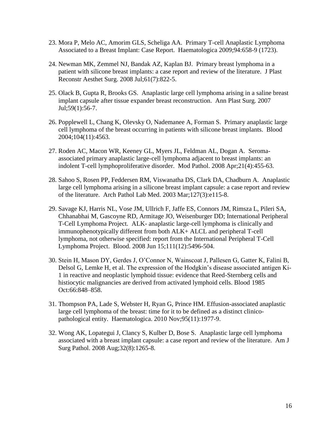- 23. Mora P, Melo AC, Amorim GLS, Scheliga AA. Primary T-cell Anaplastic Lymphoma Associated to a Breast Implant: Case Report. Haematologica 2009;94:658-9 (1723).
- 24. Newman MK, Zemmel NJ, Bandak AZ, Kaplan BJ. [Primary breast lymphoma in a](http://www.ncbi.nlm.nih.gov/pubmed/17509956)  [patient with silicone breast implants: a case report and review of the literature.](http://www.ncbi.nlm.nih.gov/pubmed/17509956) J Plast Reconstr Aesthet Surg. 2008 Jul;61(7):822-5.
- 25. Olack B, Gupta R, Brooks GS. [Anaplastic large cell lymphoma arising in a saline breast](http://www.ncbi.nlm.nih.gov/pubmed/17589261)  [implant capsule after tissue expander breast reconstruction.](http://www.ncbi.nlm.nih.gov/pubmed/17589261) Ann Plast Surg. 2007 Jul;59(1):56-7.
- 26. Popplewell L, Chang K, Olevsky O, Nademanee A, Forman S. Primary anaplastic large cell lymphoma of the breast occurring in patients with silicone breast implants. Blood 2004;104(11):4563.
- 27. Roden AC, Macon WR, Keeney GL, Myers JL, Feldman AL, Dogan A. [Seroma](http://www.ncbi.nlm.nih.gov/pubmed/18223553)[associated primary anaplastic large-cell lymphoma adjacent to breast implants: an](http://www.ncbi.nlm.nih.gov/pubmed/18223553)  [indolent T-cell lymphoproliferative disorder.](http://www.ncbi.nlm.nih.gov/pubmed/18223553) Mod Pathol. 2008 Apr;21(4):455-63.
- 28. Sahoo S, Rosen PP, Feddersen RM, Viswanatha DS, Clark DA, Chadburn A. [Anaplastic](http://www.ncbi.nlm.nih.gov/pubmed/12653596)  [large cell lymphoma arising in a silicone breast implant capsule: a case report and review](http://www.ncbi.nlm.nih.gov/pubmed/12653596)  [of the literature.](http://www.ncbi.nlm.nih.gov/pubmed/12653596) Arch Pathol Lab Med. 2003 Mar;127(3):e115-8.
- 29. Savage KJ, Harris NL, Vose JM, Ullrich F, Jaffe ES, Connors JM, Rimsza L, Pileri SA, Chhanabhai M, Gascoyne RD, Armitage JO, Weisenburger DD; International Peripheral T-Cell Lymphoma Project. ALK- [anaplastic large-cell lymphoma is clinically and](http://www.ncbi.nlm.nih.gov/pubmed/18385450)  [immunophenotypically different from both ALK+ ALCL and peripheral T-cell](http://www.ncbi.nlm.nih.gov/pubmed/18385450)  [lymphoma, not otherwise specified: report from the International Peripheral T-Cell](http://www.ncbi.nlm.nih.gov/pubmed/18385450)  [Lymphoma Project.](http://www.ncbi.nlm.nih.gov/pubmed/18385450) Blood. 2008 Jun 15;111(12):5496-504.
- <span id="page-15-1"></span>30. Stein H, Mason DY, Gerdes J, O"Connor N, Wainscoat J, Pallesen G, Gatter K, Falini B, Delsol G, Lemke H, et al. The expression of the Hodgkin"s disease associated antigen Ki-1 in reactive and neoplastic lymphoid tissue: evidence that Reed-Sternberg cells and histiocytic malignancies are derived from activated lymphoid cells. Blood 1985 Oct:66:848–858.
- <span id="page-15-0"></span>31. Thompson PA, Lade S, Webster H, Ryan G, Prince HM. Effusion-associated anaplastic large cell lymphoma of the breast: time for it to be defined as a distinct clinicopathological entity. Haematologica. 2010 Nov;95(11):1977-9.
- 32. Wong AK, Lopategui J, Clancy S, Kulber D, Bose S. [Anaplastic large cell lymphoma](http://www.ncbi.nlm.nih.gov/pubmed/18594466)  [associated with a breast implant capsule: a case](http://www.ncbi.nlm.nih.gov/pubmed/18594466) report and review of the literature. Am J Surg Pathol. 2008 Aug;32(8):1265-8.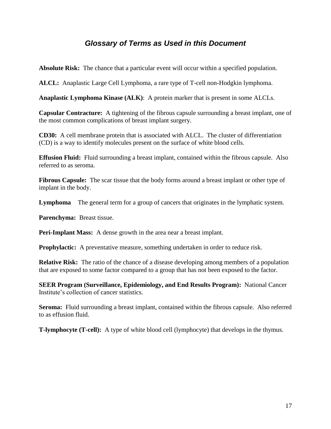### *Glossary of Terms as Used in this Document*

<span id="page-16-0"></span>**Absolute Risk:** The chance that a particular event will occur within a specified population.

**ALCL:** Anaplastic Large Cell Lymphoma, a rare type of T-cell non-Hodgkin lymphoma.

**Anaplastic Lymphoma Kinase (ALK)**: A protein marker that is present in some ALCLs.

**Capsular Contracture:** A tightening of the fibrous capsule surrounding a breast implant, one of the most common complications of breast implant surgery.

**CD30:** A cell membrane protein that is associated with ALCL. The cluster of differentiation (CD) is a way to identify molecules present on the surface of white blood cells.

**Effusion Fluid:** Fluid surrounding a breast implant, contained within the fibrous capsule. Also referred to as seroma.

**Fibrous Capsule:** The scar tissue that the body forms around a breast implant or other type of implant in the body.

**Lymphoma** The general term for a group of cancers that originates in the lymphatic system.

**Parenchyma:** Breast tissue.

**Peri-Implant Mass:** A dense growth in the area near a breast implant.

**Prophylactic:** A preventative measure, something undertaken in order to reduce risk.

**Relative Risk:** The ratio of the chance of a disease developing among members of a population that are exposed to some factor compared to a group that has not been exposed to the factor.

**SEER Program (Surveillance, Epidemiology, and End Results Program):** National Cancer Institute"s collection of cancer statistics.

**Seroma:** Fluid surrounding a breast implant, contained within the fibrous capsule. Also referred to as effusion fluid.

<span id="page-16-1"></span>**T-lymphocyte (T-cell):** A type of white blood cell (lymphocyte) that develops in the thymus.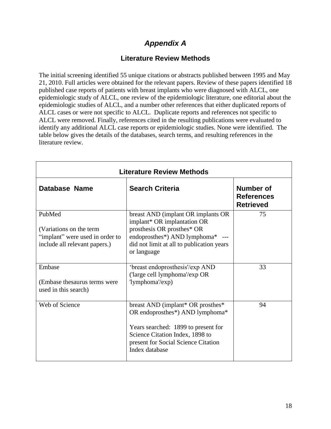## *Appendix A*

#### **Literature Review Methods**

<span id="page-17-0"></span>The initial screening identified 55 unique citations or abstracts published between 1995 and May 21, 2010. Full articles were obtained for the relevant papers. Review of these papers identified 18 published case reports of patients with breast implants who were diagnosed with ALCL, one epidemiologic study of ALCL, one review of the epidemiologic literature, one editorial about the epidemiologic studies of ALCL, and a number other references that either duplicated reports of ALCL cases or were not specific to ALCL. Duplicate reports and references not specific to ALCL were removed. Finally, references cited in the resulting publications were evaluated to identify any additional ALCL case reports or epidemiologic studies. None were identified. The table below gives the details of the databases, search terms, and resulting references in the literature review.

| <b>Literature Review Methods</b>                                                                      |                                                                                                                                                                                                         |                                                           |  |  |  |
|-------------------------------------------------------------------------------------------------------|---------------------------------------------------------------------------------------------------------------------------------------------------------------------------------------------------------|-----------------------------------------------------------|--|--|--|
| <b>Database Name</b>                                                                                  | <b>Search Criteria</b>                                                                                                                                                                                  | <b>Number of</b><br><b>References</b><br><b>Retrieved</b> |  |  |  |
| PubMed<br>(Variations on the term<br>"implant" were used in order to<br>include all relevant papers.) | breast AND (implant OR implants OR<br>implant* OR implantation OR<br>prosthesis OR prosthes* OR<br>endoprosthes*) AND lymphoma* ---<br>did not limit at all to publication years<br>or language         | 75                                                        |  |  |  |
| Embase<br>(Embase thesaurus terms were<br>used in this search)                                        | 'breast endoprosthesis'/exp AND<br>('large cell lymphoma'/exp OR<br>'lymphoma'/exp)                                                                                                                     | 33                                                        |  |  |  |
| Web of Science                                                                                        | breast AND (implant* OR prosthes*<br>OR endoprosthes*) AND lymphoma*<br>Years searched: 1899 to present for<br>Science Citation Index, 1898 to<br>present for Social Science Citation<br>Index database | 94                                                        |  |  |  |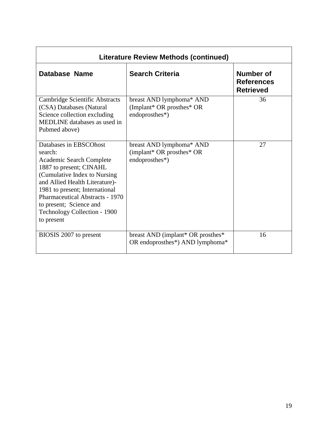<span id="page-18-0"></span>

| <b>Literature Review Methods (continued)</b>                                                                                                                                                                                                                                                                           |                                                                         |                                                    |  |  |  |  |
|------------------------------------------------------------------------------------------------------------------------------------------------------------------------------------------------------------------------------------------------------------------------------------------------------------------------|-------------------------------------------------------------------------|----------------------------------------------------|--|--|--|--|
| Database Name                                                                                                                                                                                                                                                                                                          | <b>Search Criteria</b>                                                  | Number of<br><b>References</b><br><b>Retrieved</b> |  |  |  |  |
| Cambridge Scientific Abstracts<br>(CSA) Databases (Natural<br>Science collection excluding<br>MEDLINE databases as used in<br>Pubmed above)                                                                                                                                                                            | breast AND lymphoma* AND<br>(Implant* OR prosthes* OR<br>endoprosthes*) | 36                                                 |  |  |  |  |
| Databases in EBSCOhost<br>search:<br><b>Academic Search Complete</b><br>1887 to present; CINAHL<br>(Cumulative Index to Nursing<br>and Allied Health Literature)-<br>1981 to present; International<br><b>Pharmaceutical Abstracts - 1970</b><br>to present; Science and<br>Technology Collection - 1900<br>to present | breast AND lymphoma* AND<br>(implant* OR prosthes* OR<br>endoprosthes*) | 27                                                 |  |  |  |  |
| BIOSIS 2007 to present                                                                                                                                                                                                                                                                                                 | breast AND (implant* OR prosthes*<br>OR endoprosthes*) AND lymphoma*    | 16                                                 |  |  |  |  |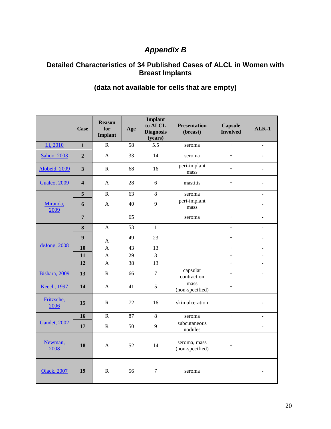# *Appendix B*

#### <span id="page-19-0"></span>**Detailed Characteristics of 34 Published Cases of ALCL in Women with Breast Implants**

|                      | <b>Case</b>             | <b>Reason</b><br>for<br>Implant | Age | <b>Implant</b><br>to ALCL<br><b>Diagnosis</b><br>(years) | <b>Presentation</b><br>(breast) | <b>Capsule</b><br><b>Involved</b> | $ALK-1$                  |
|----------------------|-------------------------|---------------------------------|-----|----------------------------------------------------------|---------------------------------|-----------------------------------|--------------------------|
| Li, 2010             | $\mathbf{1}$            | ${\bf R}$                       | 58  | 5.5                                                      | seroma                          | $\ddot{}$                         | $\overline{a}$           |
| Sahoo, 2003          | $\overline{2}$          | $\mathbf{A}$                    | 33  | 14                                                       | seroma                          | $^{+}$                            |                          |
| Alobeid, 2009        | $\overline{\mathbf{3}}$ | $\mathbf R$                     | 68  | 16                                                       | peri-implant<br>mass            | $^{+}$                            |                          |
| <b>Gualco</b> , 2009 | $\overline{\mathbf{4}}$ | $\mathbf{A}$                    | 28  | 6                                                        | mastitis                        | $+$                               |                          |
|                      | 5                       | ${\bf R}$                       | 63  | 8                                                        | seroma                          |                                   | $\overline{a}$           |
| Miranda,<br>2009     | 6                       | $\mathbf{A}$                    | 40  | 9                                                        | peri-implant<br>mass            |                                   |                          |
|                      | $\overline{7}$          |                                 | 65  |                                                          | seroma                          | $^{+}$                            |                          |
|                      | 8                       | $\overline{A}$                  | 53  | $\mathbf{1}$                                             |                                 | $^{+}$                            |                          |
|                      | $\boldsymbol{9}$        | A                               | 49  | 23                                                       |                                 | $^{+}$                            |                          |
| deJong, 2008         | 10                      | $\mathbf{A}$                    | 43  | 13                                                       |                                 | $^{+}$                            |                          |
|                      | 11                      | $\mathbf{A}$                    | 29  | 3                                                        |                                 | $^{+}$                            |                          |
|                      | 12                      | $\mathbf{A}$                    | 38  | 13                                                       |                                 | $^{+}$                            |                          |
| Bishara, 2009        | 13                      | $\mathbf{R}$                    | 66  | $\overline{7}$                                           | capsular<br>contraction         | $+$                               |                          |
| <b>Keech</b> , 1997  | 14                      | A                               | 41  | 5                                                        | mass<br>(non-specified)         | $^{+}$                            |                          |
| Fritzsche,<br>2006   | 15                      | ${\bf R}$                       | 72  | 16                                                       | skin ulceration                 |                                   |                          |
| Gaudet, 2002         | 16                      | $\mathbf R$                     | 87  | 8                                                        | seroma                          | $+$                               |                          |
|                      | 17                      | ${\bf R}$                       | 50  | 9                                                        | subcutaneous<br>nodules         |                                   | $\overline{\phantom{a}}$ |
| Newman,<br>2008      | 18                      | $\mathbf{A}$                    | 52  | 14                                                       | seroma, mass<br>(non-specified) | $^{+}$                            |                          |
| Olack, 2007          | 19                      | ${\bf R}$                       | 56  | $\tau$                                                   | seroma                          | $^{+}$                            |                          |

## **(data not available for cells that are empty)**